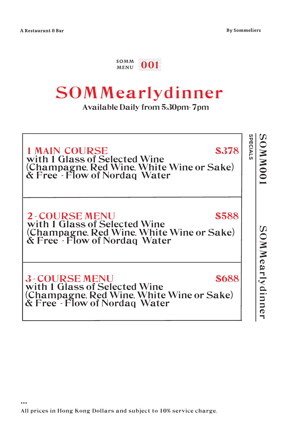\*\*\*

#### $_{\tiny\mbox{MEMU}}^{\tiny\mbox{SOMM}}$  001

### SOMMearlydinner

Available Daily from 5:30pm- 7pm

| SPECIALS<br><b>\$378</b><br>\$588<br>\$688 | <b>OMMMO</b>                                                                                                                        |                                                                                                                                     | SOMMearlydinne                                                                                                                      |
|--------------------------------------------|-------------------------------------------------------------------------------------------------------------------------------------|-------------------------------------------------------------------------------------------------------------------------------------|-------------------------------------------------------------------------------------------------------------------------------------|
|                                            |                                                                                                                                     |                                                                                                                                     |                                                                                                                                     |
|                                            | <b>1 MAIN COURSE</b><br>with 1 Glass of Selected Wine<br>(Champagne, Red Wine, White Wine or Sake)<br>& Free - Flow of Nordaq Water | <b>2-COURSE MENU</b><br>with 1 Glass of Selected Wine<br>(Champagne, Red Wine, White Wine or Sake)<br>& Free - Flow of Nordaq Water | <b>3-COURSE MENU</b><br>with 1 Glass of Selected Wine<br>(Champagne, Red Wine, White Wine or Sake)<br>& Free - Flow of Nordaq Water |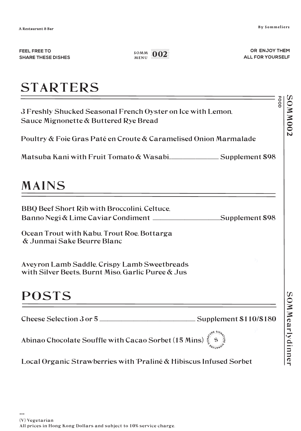FOOD

50MMM03

FEEL FREE TO **SHARE THESE DISHES** 

 $_{\tiny\mbox{MEMU}}^{\tiny\mbox{SOMM}}$  002

OR ENJOY THEM ALL FOR YOURSELF

## **STARTERS**

3 Freshly Shucked Seasonal French Oyster on Ice with Lemon. Sauce Mignonette & Buttered Rye Bread

Poultry & Foie Gras Paté en Croute & Caramelised Onion Marmalade

#### **MAINS**

BBQ Beef Short Rib with Broccolini, Celtuce, 

Ocean Trout with Kabu, Trout Roe, Bottarga & Junmai Sake Beurre Blanc

Aveyron Lamb Saddle, Crispy Lamb Sweetbreads with Silver Beets Burnt Miso Garlic Puree & Jus

#### **POSTS**

Abinao Chocolate Souffle with Cacao Sorbet (15 Mins)

Local Organic Strawberries with Praliné & Hibiscus Infused Sorbet